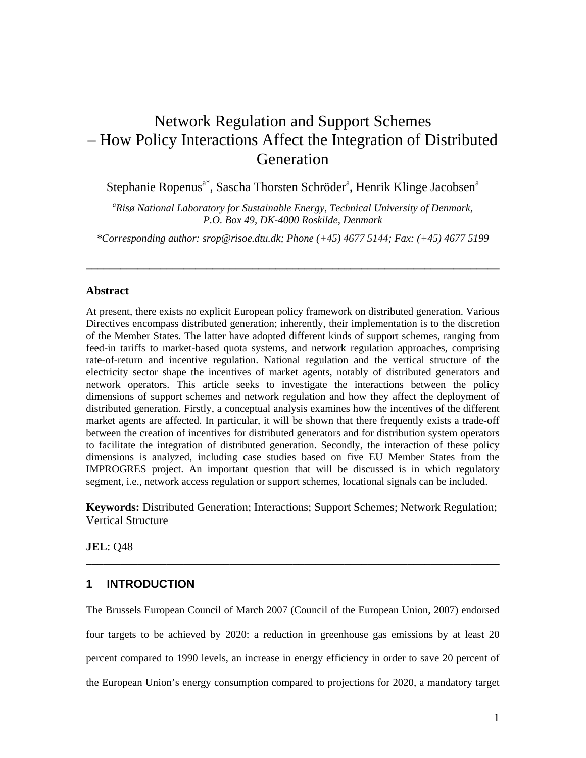# Network Regulation and Support Schemes – How Policy Interactions Affect the Integration of Distributed Generation

Stephanie Ropenus<sup>a\*</sup>, Sascha Thorsten Schröder<sup>a</sup>, Henrik Klinge Jacobsen<sup>a</sup>

*a Risø National Laboratory for Sustainable Energy, Technical University of Denmark, P.O. Box 49, DK-4000 Roskilde, Denmark* 

*\*Corresponding author: srop@risoe.dtu.dk; Phone (+45) 4677 5144; Fax: (+45) 4677 5199* 

**\_\_\_\_\_\_\_\_\_\_\_\_\_\_\_\_\_\_\_\_\_\_\_\_\_\_\_\_\_\_\_\_\_\_\_\_\_\_\_\_\_\_\_\_\_\_\_\_\_\_\_\_\_\_\_\_\_\_\_\_\_\_\_\_\_\_\_\_\_\_\_\_** 

#### **Abstract**

At present, there exists no explicit European policy framework on distributed generation. Various Directives encompass distributed generation; inherently, their implementation is to the discretion of the Member States. The latter have adopted different kinds of support schemes, ranging from feed-in tariffs to market-based quota systems, and network regulation approaches, comprising rate-of-return and incentive regulation. National regulation and the vertical structure of the electricity sector shape the incentives of market agents, notably of distributed generators and network operators. This article seeks to investigate the interactions between the policy dimensions of support schemes and network regulation and how they affect the deployment of distributed generation. Firstly, a conceptual analysis examines how the incentives of the different market agents are affected. In particular, it will be shown that there frequently exists a trade-off between the creation of incentives for distributed generators and for distribution system operators to facilitate the integration of distributed generation. Secondly, the interaction of these policy dimensions is analyzed, including case studies based on five EU Member States from the IMPROGRES project. An important question that will be discussed is in which regulatory segment, i.e., network access regulation or support schemes, locational signals can be included.

**Keywords:** Distributed Generation; Interactions; Support Schemes; Network Regulation; Vertical Structure

\_\_\_\_\_\_\_\_\_\_\_\_\_\_\_\_\_\_\_\_\_\_\_\_\_\_\_\_\_\_\_\_\_\_\_\_\_\_\_\_\_\_\_\_\_\_\_\_\_\_\_\_\_\_\_\_\_\_\_\_\_\_\_\_\_\_\_\_\_\_\_\_

**JEL**: Q48

# **1 INTRODUCTION**

The Brussels European Council of March 2007 (Council of the European Union, 2007) endorsed four targets to be achieved by 2020: a reduction in greenhouse gas emissions by at least 20 percent compared to 1990 levels, an increase in energy efficiency in order to save 20 percent of the European Union's energy consumption compared to projections for 2020, a mandatory target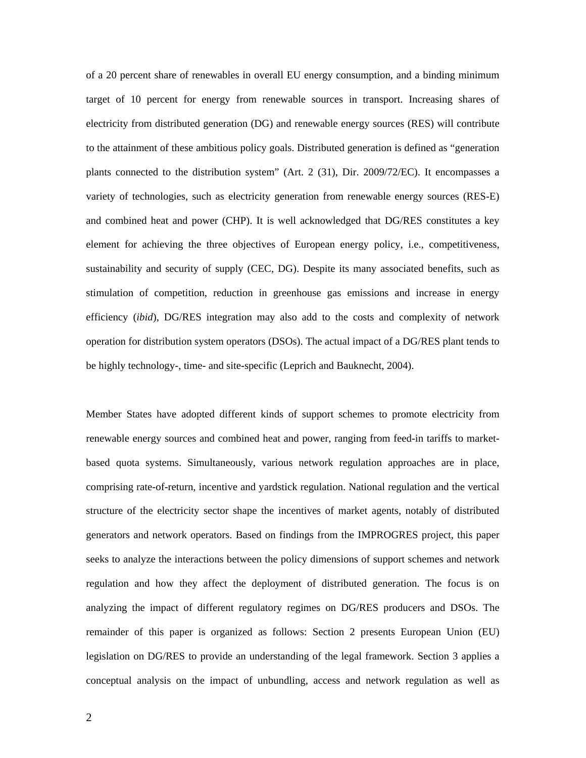of a 20 percent share of renewables in overall EU energy consumption, and a binding minimum target of 10 percent for energy from renewable sources in transport. Increasing shares of electricity from distributed generation (DG) and renewable energy sources (RES) will contribute to the attainment of these ambitious policy goals. Distributed generation is defined as "generation plants connected to the distribution system" (Art. 2 (31), Dir. 2009/72/EC). It encompasses a variety of technologies, such as electricity generation from renewable energy sources (RES-E) and combined heat and power (CHP). It is well acknowledged that DG/RES constitutes a key element for achieving the three objectives of European energy policy, i.e., competitiveness, sustainability and security of supply (CEC, DG). Despite its many associated benefits, such as stimulation of competition, reduction in greenhouse gas emissions and increase in energy efficiency (*ibid*), DG/RES integration may also add to the costs and complexity of network operation for distribution system operators (DSOs). The actual impact of a DG/RES plant tends to be highly technology-, time- and site-specific (Leprich and Bauknecht, 2004).

Member States have adopted different kinds of support schemes to promote electricity from renewable energy sources and combined heat and power, ranging from feed-in tariffs to marketbased quota systems. Simultaneously, various network regulation approaches are in place, comprising rate-of-return, incentive and yardstick regulation. National regulation and the vertical structure of the electricity sector shape the incentives of market agents, notably of distributed generators and network operators. Based on findings from the IMPROGRES project, this paper seeks to analyze the interactions between the policy dimensions of support schemes and network regulation and how they affect the deployment of distributed generation. The focus is on analyzing the impact of different regulatory regimes on DG/RES producers and DSOs. The remainder of this paper is organized as follows: Section 2 presents European Union (EU) legislation on DG/RES to provide an understanding of the legal framework. Section 3 applies a conceptual analysis on the impact of unbundling, access and network regulation as well as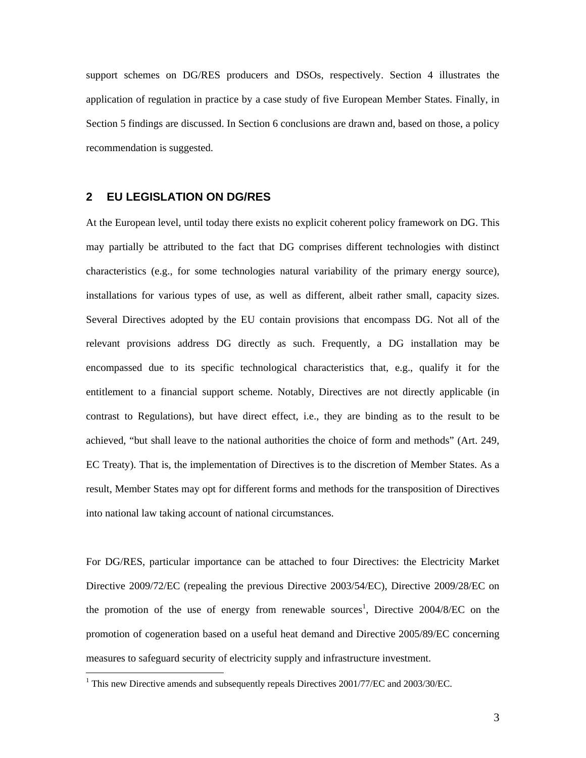support schemes on DG/RES producers and DSOs, respectively. Section 4 illustrates the application of regulation in practice by a case study of five European Member States. Finally, in Section 5 findings are discussed. In Section 6 conclusions are drawn and, based on those, a policy recommendation is suggested.

## **2 EU LEGISLATION ON DG/RES**

At the European level, until today there exists no explicit coherent policy framework on DG. This may partially be attributed to the fact that DG comprises different technologies with distinct characteristics (e.g., for some technologies natural variability of the primary energy source), installations for various types of use, as well as different, albeit rather small, capacity sizes. Several Directives adopted by the EU contain provisions that encompass DG. Not all of the relevant provisions address DG directly as such. Frequently, a DG installation may be encompassed due to its specific technological characteristics that, e.g., qualify it for the entitlement to a financial support scheme. Notably, Directives are not directly applicable (in contrast to Regulations), but have direct effect, i.e., they are binding as to the result to be achieved, "but shall leave to the national authorities the choice of form and methods" (Art. 249, EC Treaty). That is, the implementation of Directives is to the discretion of Member States. As a result, Member States may opt for different forms and methods for the transposition of Directives into national law taking account of national circumstances.

For DG/RES, particular importance can be attached to four Directives: the Electricity Market Directive 2009/72/EC (repealing the previous Directive 2003/54/EC), Directive 2009/28/EC on the promotion of the use of energy from renewable sources<sup>1</sup>, Directive 2004/8/EC on the promotion of cogeneration based on a useful heat demand and Directive 2005/89/EC concerning measures to safeguard security of electricity supply and infrastructure investment.

 $\overline{a}$ 

<sup>&</sup>lt;sup>1</sup> This new Directive amends and subsequently repeals Directives 2001/77/EC and 2003/30/EC.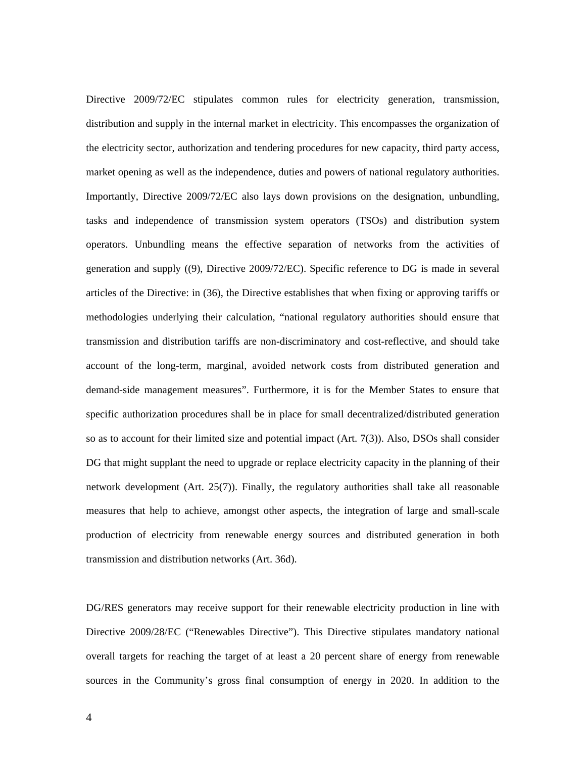Directive 2009/72/EC stipulates common rules for electricity generation, transmission, distribution and supply in the internal market in electricity. This encompasses the organization of the electricity sector, authorization and tendering procedures for new capacity, third party access, market opening as well as the independence, duties and powers of national regulatory authorities. Importantly, Directive 2009/72/EC also lays down provisions on the designation, unbundling, tasks and independence of transmission system operators (TSOs) and distribution system operators. Unbundling means the effective separation of networks from the activities of generation and supply ((9), Directive 2009/72/EC). Specific reference to DG is made in several articles of the Directive: in (36), the Directive establishes that when fixing or approving tariffs or methodologies underlying their calculation, "national regulatory authorities should ensure that transmission and distribution tariffs are non-discriminatory and cost-reflective, and should take account of the long-term, marginal, avoided network costs from distributed generation and demand-side management measures". Furthermore, it is for the Member States to ensure that specific authorization procedures shall be in place for small decentralized/distributed generation so as to account for their limited size and potential impact (Art. 7(3)). Also, DSOs shall consider DG that might supplant the need to upgrade or replace electricity capacity in the planning of their network development (Art. 25(7)). Finally, the regulatory authorities shall take all reasonable measures that help to achieve, amongst other aspects, the integration of large and small-scale production of electricity from renewable energy sources and distributed generation in both transmission and distribution networks (Art. 36d).

DG/RES generators may receive support for their renewable electricity production in line with Directive 2009/28/EC ("Renewables Directive"). This Directive stipulates mandatory national overall targets for reaching the target of at least a 20 percent share of energy from renewable sources in the Community's gross final consumption of energy in 2020. In addition to the

4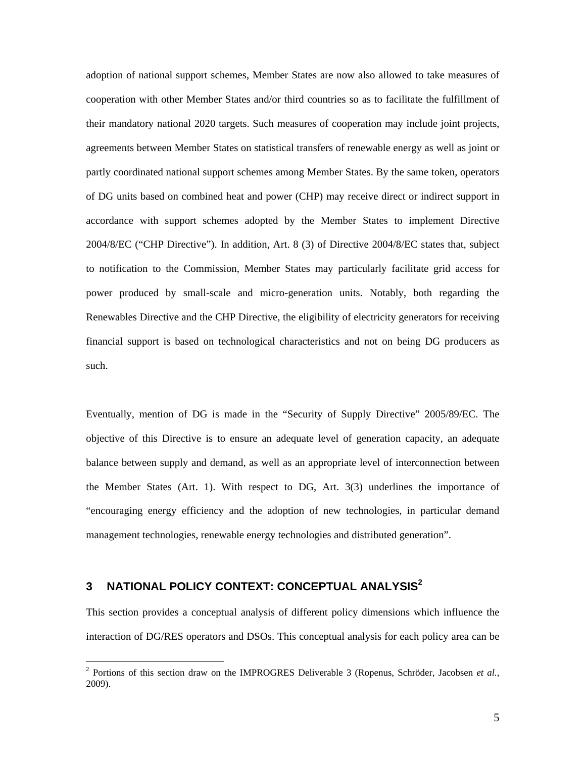adoption of national support schemes, Member States are now also allowed to take measures of cooperation with other Member States and/or third countries so as to facilitate the fulfillment of their mandatory national 2020 targets. Such measures of cooperation may include joint projects, agreements between Member States on statistical transfers of renewable energy as well as joint or partly coordinated national support schemes among Member States. By the same token, operators of DG units based on combined heat and power (CHP) may receive direct or indirect support in accordance with support schemes adopted by the Member States to implement Directive 2004/8/EC ("CHP Directive"). In addition, Art. 8 (3) of Directive 2004/8/EC states that, subject to notification to the Commission, Member States may particularly facilitate grid access for power produced by small-scale and micro-generation units. Notably, both regarding the Renewables Directive and the CHP Directive, the eligibility of electricity generators for receiving financial support is based on technological characteristics and not on being DG producers as such.

Eventually, mention of DG is made in the "Security of Supply Directive" 2005/89/EC. The objective of this Directive is to ensure an adequate level of generation capacity, an adequate balance between supply and demand, as well as an appropriate level of interconnection between the Member States (Art. 1). With respect to DG, Art. 3(3) underlines the importance of "encouraging energy efficiency and the adoption of new technologies, in particular demand management technologies, renewable energy technologies and distributed generation".

# **3 NATIONAL POLICY CONTEXT: CONCEPTUAL ANALYSIS2**

This section provides a conceptual analysis of different policy dimensions which influence the interaction of DG/RES operators and DSOs. This conceptual analysis for each policy area can be

 2 Portions of this section draw on the IMPROGRES Deliverable 3 (Ropenus, Schröder, Jacobsen *et al.*, 2009).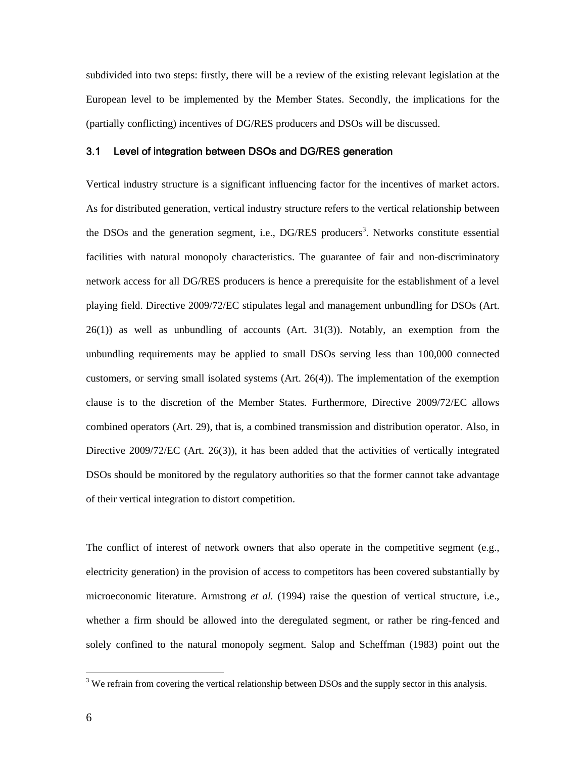subdivided into two steps: firstly, there will be a review of the existing relevant legislation at the European level to be implemented by the Member States. Secondly, the implications for the (partially conflicting) incentives of DG/RES producers and DSOs will be discussed.

#### 3.1 Level of integration between DSOs and DG/RES generation

Vertical industry structure is a significant influencing factor for the incentives of market actors. As for distributed generation, vertical industry structure refers to the vertical relationship between the DSOs and the generation segment, i.e.,  $DG/RES$  producers<sup>3</sup>. Networks constitute essential facilities with natural monopoly characteristics. The guarantee of fair and non-discriminatory network access for all DG/RES producers is hence a prerequisite for the establishment of a level playing field. Directive 2009/72/EC stipulates legal and management unbundling for DSOs (Art.  $26(1)$ ) as well as unbundling of accounts (Art. 31(3)). Notably, an exemption from the unbundling requirements may be applied to small DSOs serving less than 100,000 connected customers, or serving small isolated systems (Art. 26(4)). The implementation of the exemption clause is to the discretion of the Member States. Furthermore, Directive 2009/72/EC allows combined operators (Art. 29), that is, a combined transmission and distribution operator. Also, in Directive 2009/72/EC (Art. 26(3)), it has been added that the activities of vertically integrated DSOs should be monitored by the regulatory authorities so that the former cannot take advantage of their vertical integration to distort competition.

The conflict of interest of network owners that also operate in the competitive segment (e.g., electricity generation) in the provision of access to competitors has been covered substantially by microeconomic literature. Armstrong *et al.* (1994) raise the question of vertical structure, i.e., whether a firm should be allowed into the deregulated segment, or rather be ring-fenced and solely confined to the natural monopoly segment. Salop and Scheffman (1983) point out the

 $\overline{a}$ 

 $3$  We refrain from covering the vertical relationship between DSOs and the supply sector in this analysis.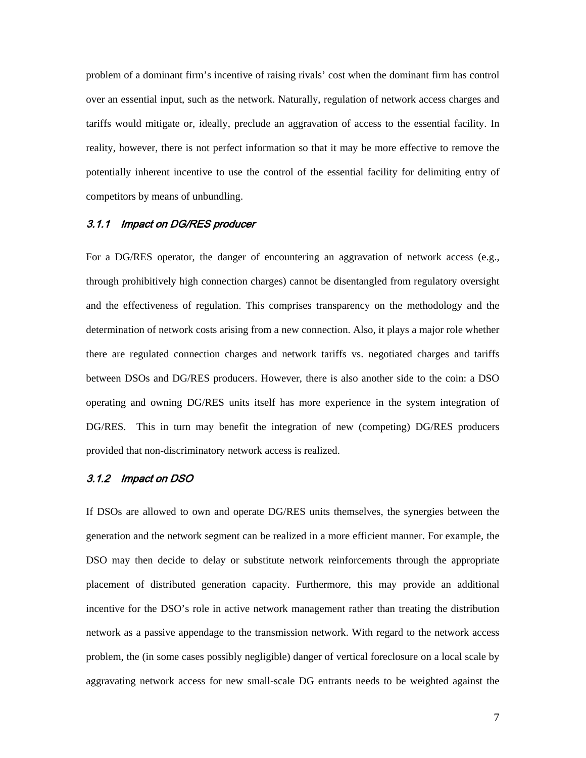problem of a dominant firm's incentive of raising rivals' cost when the dominant firm has control over an essential input, such as the network. Naturally, regulation of network access charges and tariffs would mitigate or, ideally, preclude an aggravation of access to the essential facility. In reality, however, there is not perfect information so that it may be more effective to remove the potentially inherent incentive to use the control of the essential facility for delimiting entry of competitors by means of unbundling.

#### 3.1.1 Impact on DG/RES producer

For a DG/RES operator, the danger of encountering an aggravation of network access (e.g., through prohibitively high connection charges) cannot be disentangled from regulatory oversight and the effectiveness of regulation. This comprises transparency on the methodology and the determination of network costs arising from a new connection. Also, it plays a major role whether there are regulated connection charges and network tariffs vs. negotiated charges and tariffs between DSOs and DG/RES producers. However, there is also another side to the coin: a DSO operating and owning DG/RES units itself has more experience in the system integration of DG/RES. This in turn may benefit the integration of new (competing) DG/RES producers provided that non-discriminatory network access is realized.

#### 3.1.2 Impact on DSO

If DSOs are allowed to own and operate DG/RES units themselves, the synergies between the generation and the network segment can be realized in a more efficient manner. For example, the DSO may then decide to delay or substitute network reinforcements through the appropriate placement of distributed generation capacity. Furthermore, this may provide an additional incentive for the DSO's role in active network management rather than treating the distribution network as a passive appendage to the transmission network. With regard to the network access problem, the (in some cases possibly negligible) danger of vertical foreclosure on a local scale by aggravating network access for new small-scale DG entrants needs to be weighted against the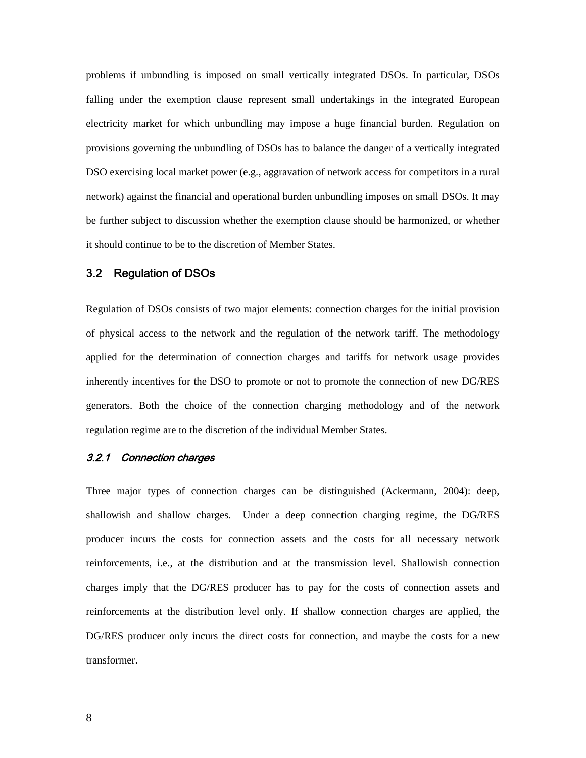problems if unbundling is imposed on small vertically integrated DSOs. In particular, DSOs falling under the exemption clause represent small undertakings in the integrated European electricity market for which unbundling may impose a huge financial burden. Regulation on provisions governing the unbundling of DSOs has to balance the danger of a vertically integrated DSO exercising local market power (e.g., aggravation of network access for competitors in a rural network) against the financial and operational burden unbundling imposes on small DSOs. It may be further subject to discussion whether the exemption clause should be harmonized, or whether it should continue to be to the discretion of Member States.

## 3.2 Regulation of DSOs

Regulation of DSOs consists of two major elements: connection charges for the initial provision of physical access to the network and the regulation of the network tariff. The methodology applied for the determination of connection charges and tariffs for network usage provides inherently incentives for the DSO to promote or not to promote the connection of new DG/RES generators. Both the choice of the connection charging methodology and of the network regulation regime are to the discretion of the individual Member States.

## 3.2.1 Connection charges

Three major types of connection charges can be distinguished (Ackermann, 2004): deep, shallowish and shallow charges. Under a deep connection charging regime, the DG/RES producer incurs the costs for connection assets and the costs for all necessary network reinforcements, i.e., at the distribution and at the transmission level. Shallowish connection charges imply that the DG/RES producer has to pay for the costs of connection assets and reinforcements at the distribution level only. If shallow connection charges are applied, the DG/RES producer only incurs the direct costs for connection, and maybe the costs for a new transformer.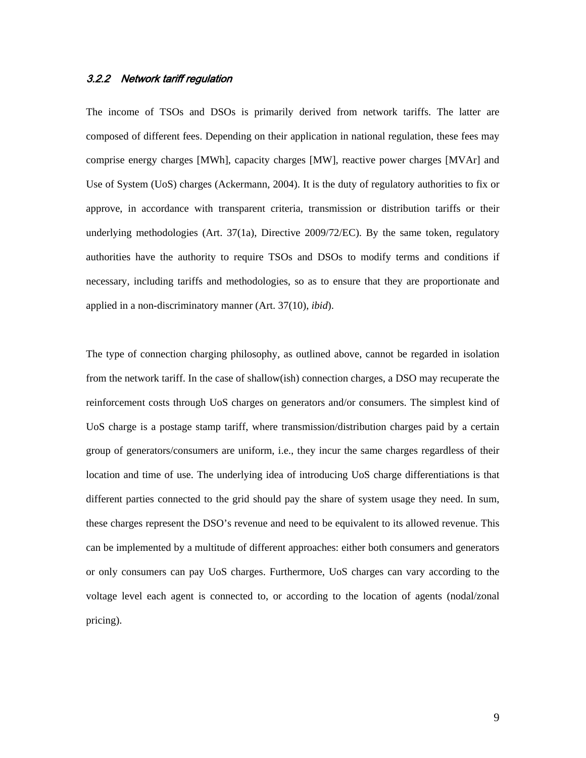### 3.2.2 Network tariff regulation

The income of TSOs and DSOs is primarily derived from network tariffs. The latter are composed of different fees. Depending on their application in national regulation, these fees may comprise energy charges [MWh], capacity charges [MW], reactive power charges [MVAr] and Use of System (UoS) charges (Ackermann, 2004). It is the duty of regulatory authorities to fix or approve, in accordance with transparent criteria, transmission or distribution tariffs or their underlying methodologies (Art. 37(1a), Directive 2009/72/EC). By the same token, regulatory authorities have the authority to require TSOs and DSOs to modify terms and conditions if necessary, including tariffs and methodologies, so as to ensure that they are proportionate and applied in a non-discriminatory manner (Art. 37(10), *ibid*).

The type of connection charging philosophy, as outlined above, cannot be regarded in isolation from the network tariff. In the case of shallow(ish) connection charges, a DSO may recuperate the reinforcement costs through UoS charges on generators and/or consumers. The simplest kind of UoS charge is a postage stamp tariff, where transmission/distribution charges paid by a certain group of generators/consumers are uniform, i.e., they incur the same charges regardless of their location and time of use. The underlying idea of introducing UoS charge differentiations is that different parties connected to the grid should pay the share of system usage they need. In sum, these charges represent the DSO's revenue and need to be equivalent to its allowed revenue. This can be implemented by a multitude of different approaches: either both consumers and generators or only consumers can pay UoS charges. Furthermore, UoS charges can vary according to the voltage level each agent is connected to, or according to the location of agents (nodal/zonal pricing).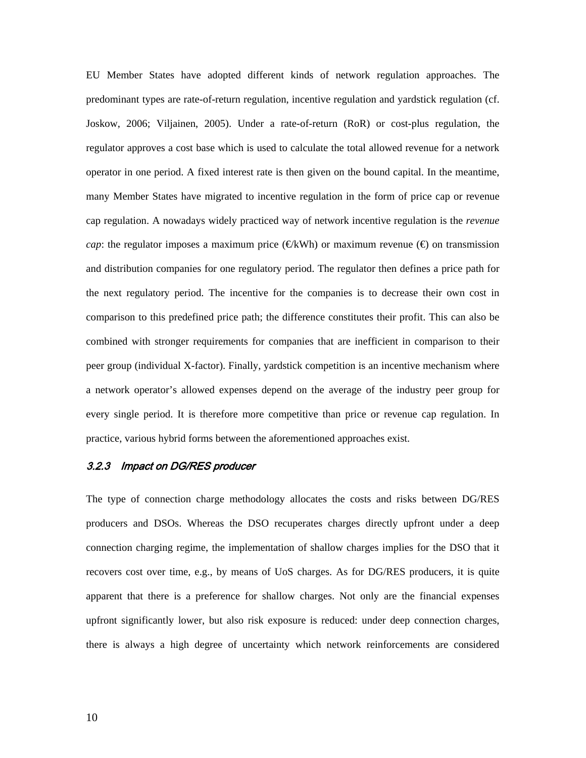EU Member States have adopted different kinds of network regulation approaches. The predominant types are rate-of-return regulation, incentive regulation and yardstick regulation (cf. Joskow, 2006; Viljainen, 2005). Under a rate-of-return (RoR) or cost-plus regulation, the regulator approves a cost base which is used to calculate the total allowed revenue for a network operator in one period. A fixed interest rate is then given on the bound capital. In the meantime, many Member States have migrated to incentive regulation in the form of price cap or revenue cap regulation. A nowadays widely practiced way of network incentive regulation is the *revenue cap*: the regulator imposes a maximum price ( $E$ kWh) or maximum revenue ( $\Theta$ ) on transmission and distribution companies for one regulatory period. The regulator then defines a price path for the next regulatory period. The incentive for the companies is to decrease their own cost in comparison to this predefined price path; the difference constitutes their profit. This can also be combined with stronger requirements for companies that are inefficient in comparison to their peer group (individual X-factor). Finally, yardstick competition is an incentive mechanism where a network operator's allowed expenses depend on the average of the industry peer group for every single period. It is therefore more competitive than price or revenue cap regulation. In practice, various hybrid forms between the aforementioned approaches exist.

#### 3.2.3 Impact on DG/RES producer

The type of connection charge methodology allocates the costs and risks between DG/RES producers and DSOs. Whereas the DSO recuperates charges directly upfront under a deep connection charging regime, the implementation of shallow charges implies for the DSO that it recovers cost over time, e.g., by means of UoS charges. As for DG/RES producers, it is quite apparent that there is a preference for shallow charges. Not only are the financial expenses upfront significantly lower, but also risk exposure is reduced: under deep connection charges, there is always a high degree of uncertainty which network reinforcements are considered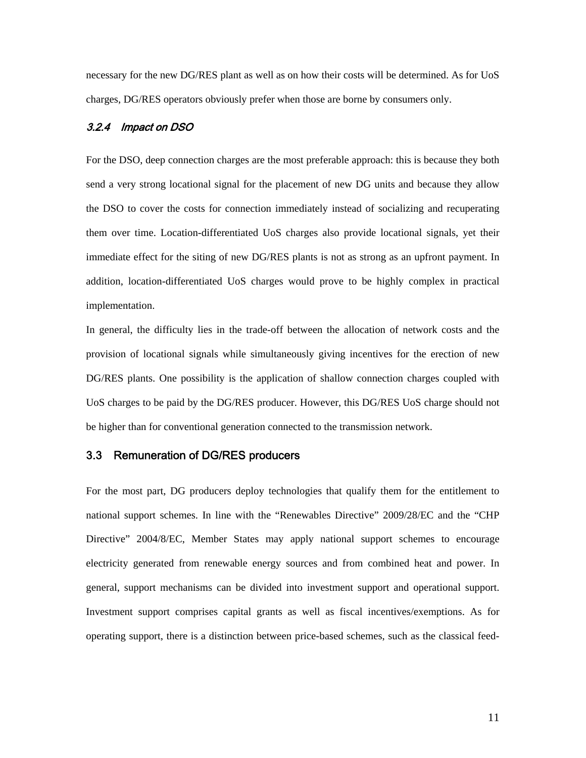necessary for the new DG/RES plant as well as on how their costs will be determined. As for UoS charges, DG/RES operators obviously prefer when those are borne by consumers only.

## 3.2.4 Impact on DSO

For the DSO, deep connection charges are the most preferable approach: this is because they both send a very strong locational signal for the placement of new DG units and because they allow the DSO to cover the costs for connection immediately instead of socializing and recuperating them over time. Location-differentiated UoS charges also provide locational signals, yet their immediate effect for the siting of new DG/RES plants is not as strong as an upfront payment. In addition, location-differentiated UoS charges would prove to be highly complex in practical implementation.

In general, the difficulty lies in the trade-off between the allocation of network costs and the provision of locational signals while simultaneously giving incentives for the erection of new DG/RES plants. One possibility is the application of shallow connection charges coupled with UoS charges to be paid by the DG/RES producer. However, this DG/RES UoS charge should not be higher than for conventional generation connected to the transmission network.

#### 3.3 Remuneration of DG/RES producers

For the most part, DG producers deploy technologies that qualify them for the entitlement to national support schemes. In line with the "Renewables Directive" 2009/28/EC and the "CHP Directive" 2004/8/EC, Member States may apply national support schemes to encourage electricity generated from renewable energy sources and from combined heat and power. In general, support mechanisms can be divided into investment support and operational support. Investment support comprises capital grants as well as fiscal incentives/exemptions. As for operating support, there is a distinction between price-based schemes, such as the classical feed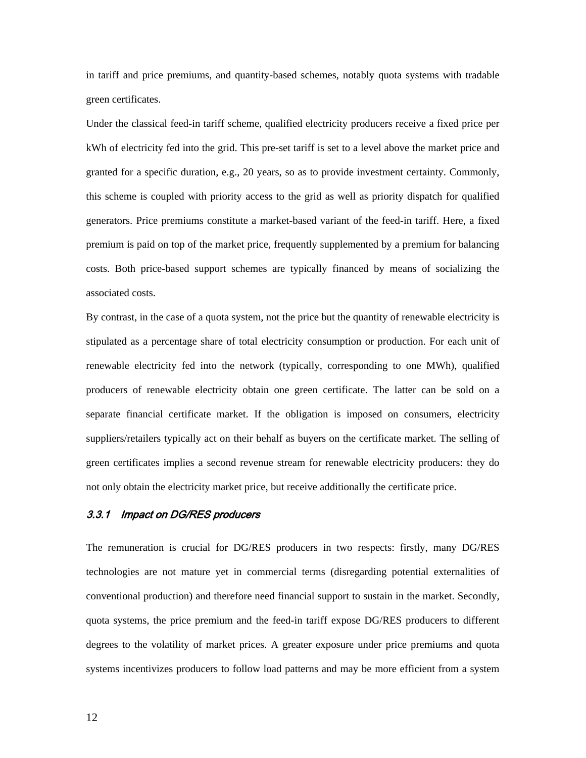in tariff and price premiums, and quantity-based schemes, notably quota systems with tradable green certificates.

Under the classical feed-in tariff scheme, qualified electricity producers receive a fixed price per kWh of electricity fed into the grid. This pre-set tariff is set to a level above the market price and granted for a specific duration, e.g., 20 years, so as to provide investment certainty. Commonly, this scheme is coupled with priority access to the grid as well as priority dispatch for qualified generators. Price premiums constitute a market-based variant of the feed-in tariff. Here, a fixed premium is paid on top of the market price, frequently supplemented by a premium for balancing costs. Both price-based support schemes are typically financed by means of socializing the associated costs.

By contrast, in the case of a quota system, not the price but the quantity of renewable electricity is stipulated as a percentage share of total electricity consumption or production. For each unit of renewable electricity fed into the network (typically, corresponding to one MWh), qualified producers of renewable electricity obtain one green certificate. The latter can be sold on a separate financial certificate market. If the obligation is imposed on consumers, electricity suppliers/retailers typically act on their behalf as buyers on the certificate market. The selling of green certificates implies a second revenue stream for renewable electricity producers: they do not only obtain the electricity market price, but receive additionally the certificate price.

#### 3.3.1 Impact on DG/RES producers

The remuneration is crucial for DG/RES producers in two respects: firstly, many DG/RES technologies are not mature yet in commercial terms (disregarding potential externalities of conventional production) and therefore need financial support to sustain in the market. Secondly, quota systems, the price premium and the feed-in tariff expose DG/RES producers to different degrees to the volatility of market prices. A greater exposure under price premiums and quota systems incentivizes producers to follow load patterns and may be more efficient from a system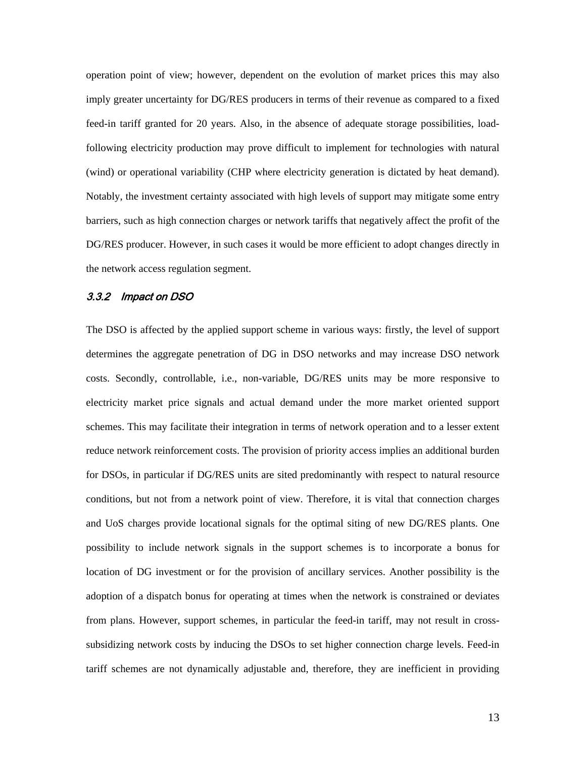operation point of view; however, dependent on the evolution of market prices this may also imply greater uncertainty for DG/RES producers in terms of their revenue as compared to a fixed feed-in tariff granted for 20 years. Also, in the absence of adequate storage possibilities, loadfollowing electricity production may prove difficult to implement for technologies with natural (wind) or operational variability (CHP where electricity generation is dictated by heat demand). Notably, the investment certainty associated with high levels of support may mitigate some entry barriers, such as high connection charges or network tariffs that negatively affect the profit of the DG/RES producer. However, in such cases it would be more efficient to adopt changes directly in the network access regulation segment.

## 3.3.2 Impact on DSO

The DSO is affected by the applied support scheme in various ways: firstly, the level of support determines the aggregate penetration of DG in DSO networks and may increase DSO network costs. Secondly, controllable, i.e., non-variable, DG/RES units may be more responsive to electricity market price signals and actual demand under the more market oriented support schemes. This may facilitate their integration in terms of network operation and to a lesser extent reduce network reinforcement costs. The provision of priority access implies an additional burden for DSOs, in particular if DG/RES units are sited predominantly with respect to natural resource conditions, but not from a network point of view. Therefore, it is vital that connection charges and UoS charges provide locational signals for the optimal siting of new DG/RES plants. One possibility to include network signals in the support schemes is to incorporate a bonus for location of DG investment or for the provision of ancillary services. Another possibility is the adoption of a dispatch bonus for operating at times when the network is constrained or deviates from plans. However, support schemes, in particular the feed-in tariff, may not result in crosssubsidizing network costs by inducing the DSOs to set higher connection charge levels. Feed-in tariff schemes are not dynamically adjustable and, therefore, they are inefficient in providing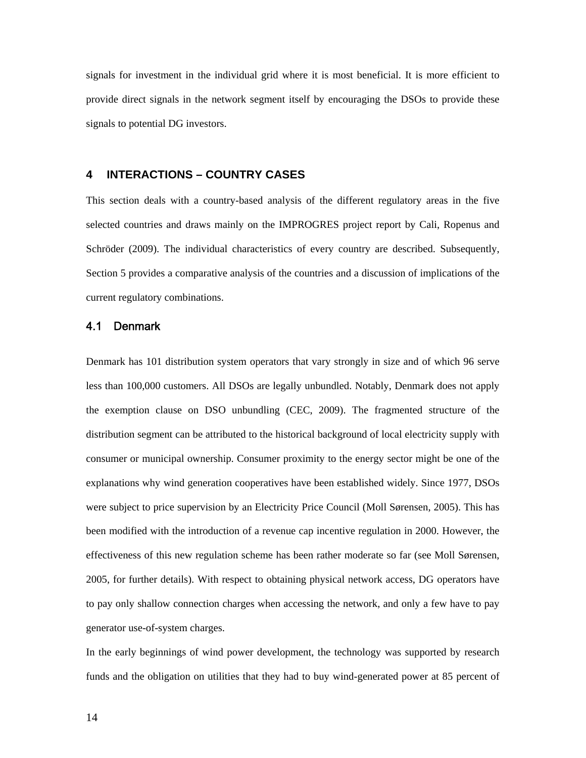signals for investment in the individual grid where it is most beneficial. It is more efficient to provide direct signals in the network segment itself by encouraging the DSOs to provide these signals to potential DG investors.

## **4 INTERACTIONS – COUNTRY CASES**

This section deals with a country-based analysis of the different regulatory areas in the five selected countries and draws mainly on the IMPROGRES project report by Cali, Ropenus and Schröder (2009). The individual characteristics of every country are described. Subsequently, Section 5 provides a comparative analysis of the countries and a discussion of implications of the current regulatory combinations.

## 4.1 Denmark

Denmark has 101 distribution system operators that vary strongly in size and of which 96 serve less than 100,000 customers. All DSOs are legally unbundled. Notably, Denmark does not apply the exemption clause on DSO unbundling (CEC, 2009). The fragmented structure of the distribution segment can be attributed to the historical background of local electricity supply with consumer or municipal ownership. Consumer proximity to the energy sector might be one of the explanations why wind generation cooperatives have been established widely. Since 1977, DSOs were subject to price supervision by an Electricity Price Council (Moll Sørensen, 2005). This has been modified with the introduction of a revenue cap incentive regulation in 2000. However, the effectiveness of this new regulation scheme has been rather moderate so far (see Moll Sørensen, 2005, for further details). With respect to obtaining physical network access, DG operators have to pay only shallow connection charges when accessing the network, and only a few have to pay generator use-of-system charges.

In the early beginnings of wind power development, the technology was supported by research funds and the obligation on utilities that they had to buy wind-generated power at 85 percent of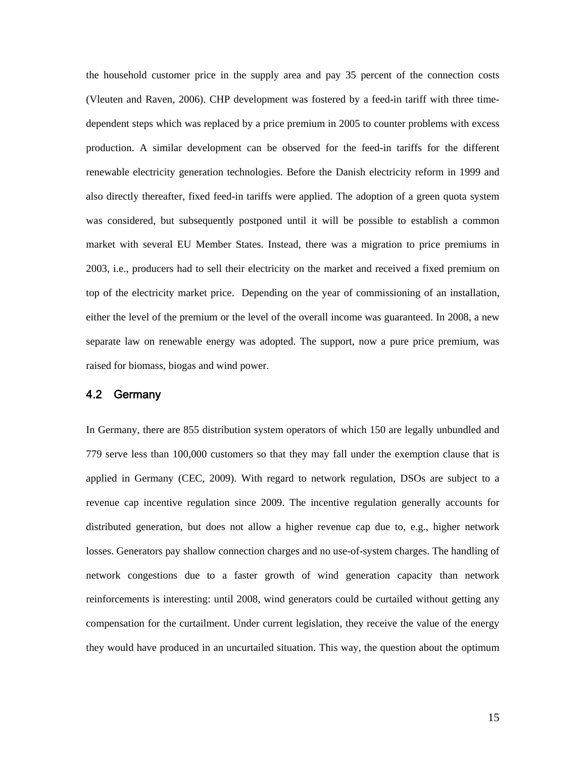the household customer price in the supply area and pay 35 percent of the connection costs (Vleuten and Raven, 2006). CHP development was fostered by a feed-in tariff with three timedependent steps which was replaced by a price premium in 2005 to counter problems with excess production. A similar development can be observed for the feed-in tariffs for the different renewable electricity generation technologies. Before the Danish electricity reform in 1999 and also directly thereafter, fixed feed-in tariffs were applied. The adoption of a green quota system was considered, but subsequently postponed until it will be possible to establish a common market with several EU Member States. Instead, there was a migration to price premiums in 2003, i.e., producers had to sell their electricity on the market and received a fixed premium on top of the electricity market price. Depending on the year of commissioning of an installation, either the level of the premium or the level of the overall income was guaranteed. In 2008, a new separate law on renewable energy was adopted. The support, now a pure price premium, was raised for biomass, biogas and wind power.

# 4.2 Germany

In Germany, there are 855 distribution system operators of which 150 are legally unbundled and 779 serve less than 100,000 customers so that they may fall under the exemption clause that is applied in Germany (CEC, 2009). With regard to network regulation, DSOs are subject to a revenue cap incentive regulation since 2009. The incentive regulation generally accounts for distributed generation, but does not allow a higher revenue cap due to, e.g., higher network losses. Generators pay shallow connection charges and no use-of-system charges. The handling of network congestions due to a faster growth of wind generation capacity than network reinforcements is interesting: until 2008, wind generators could be curtailed without getting any compensation for the curtailment. Under current legislation, they receive the value of the energy they would have produced in an uncurtailed situation. This way, the question about the optimum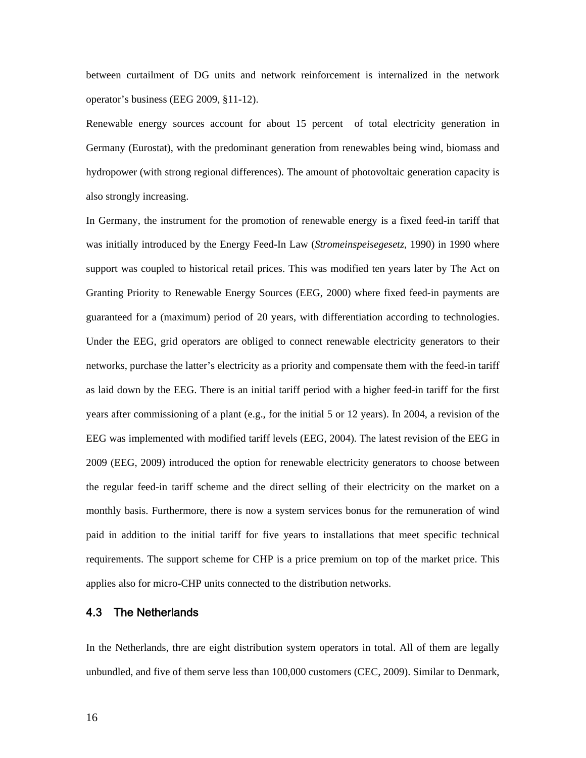between curtailment of DG units and network reinforcement is internalized in the network operator's business (EEG 2009, §11-12).

Renewable energy sources account for about 15 percent of total electricity generation in Germany (Eurostat), with the predominant generation from renewables being wind, biomass and hydropower (with strong regional differences). The amount of photovoltaic generation capacity is also strongly increasing.

In Germany, the instrument for the promotion of renewable energy is a fixed feed-in tariff that was initially introduced by the Energy Feed-In Law (*Stromeinspeisegesetz*, 1990) in 1990 where support was coupled to historical retail prices. This was modified ten years later by The Act on Granting Priority to Renewable Energy Sources (EEG, 2000) where fixed feed-in payments are guaranteed for a (maximum) period of 20 years, with differentiation according to technologies. Under the EEG, grid operators are obliged to connect renewable electricity generators to their networks, purchase the latter's electricity as a priority and compensate them with the feed-in tariff as laid down by the EEG. There is an initial tariff period with a higher feed-in tariff for the first years after commissioning of a plant (e.g., for the initial 5 or 12 years). In 2004, a revision of the EEG was implemented with modified tariff levels (EEG, 2004). The latest revision of the EEG in 2009 (EEG, 2009) introduced the option for renewable electricity generators to choose between the regular feed-in tariff scheme and the direct selling of their electricity on the market on a monthly basis. Furthermore, there is now a system services bonus for the remuneration of wind paid in addition to the initial tariff for five years to installations that meet specific technical requirements. The support scheme for CHP is a price premium on top of the market price. This applies also for micro-CHP units connected to the distribution networks.

# 4.3 The Netherlands

In the Netherlands, thre are eight distribution system operators in total. All of them are legally unbundled, and five of them serve less than 100,000 customers (CEC, 2009). Similar to Denmark,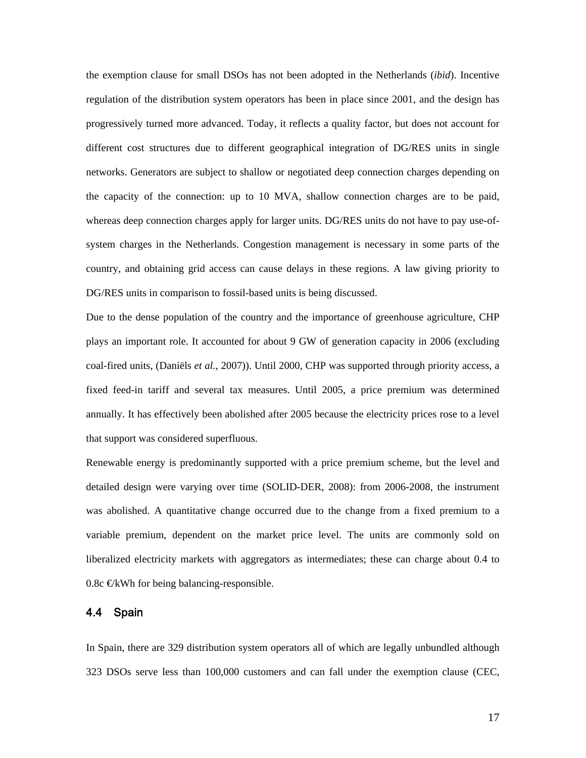the exemption clause for small DSOs has not been adopted in the Netherlands (*ibid*). Incentive regulation of the distribution system operators has been in place since 2001, and the design has progressively turned more advanced. Today, it reflects a quality factor, but does not account for different cost structures due to different geographical integration of DG/RES units in single networks. Generators are subject to shallow or negotiated deep connection charges depending on the capacity of the connection: up to 10 MVA, shallow connection charges are to be paid, whereas deep connection charges apply for larger units. DG/RES units do not have to pay use-ofsystem charges in the Netherlands. Congestion management is necessary in some parts of the country, and obtaining grid access can cause delays in these regions. A law giving priority to DG/RES units in comparison to fossil-based units is being discussed.

Due to the dense population of the country and the importance of greenhouse agriculture, CHP plays an important role. It accounted for about 9 GW of generation capacity in 2006 (excluding coal-fired units, (Daniëls *et al.*, 2007)). Until 2000, CHP was supported through priority access, a fixed feed-in tariff and several tax measures. Until 2005, a price premium was determined annually. It has effectively been abolished after 2005 because the electricity prices rose to a level that support was considered superfluous.

Renewable energy is predominantly supported with a price premium scheme, but the level and detailed design were varying over time (SOLID-DER, 2008): from 2006-2008, the instrument was abolished. A quantitative change occurred due to the change from a fixed premium to a variable premium, dependent on the market price level. The units are commonly sold on liberalized electricity markets with aggregators as intermediates; these can charge about 0.4 to 0.8c  $E$ kWh for being balancing-responsible.

#### 4.4 Spain

In Spain, there are 329 distribution system operators all of which are legally unbundled although 323 DSOs serve less than 100,000 customers and can fall under the exemption clause (CEC,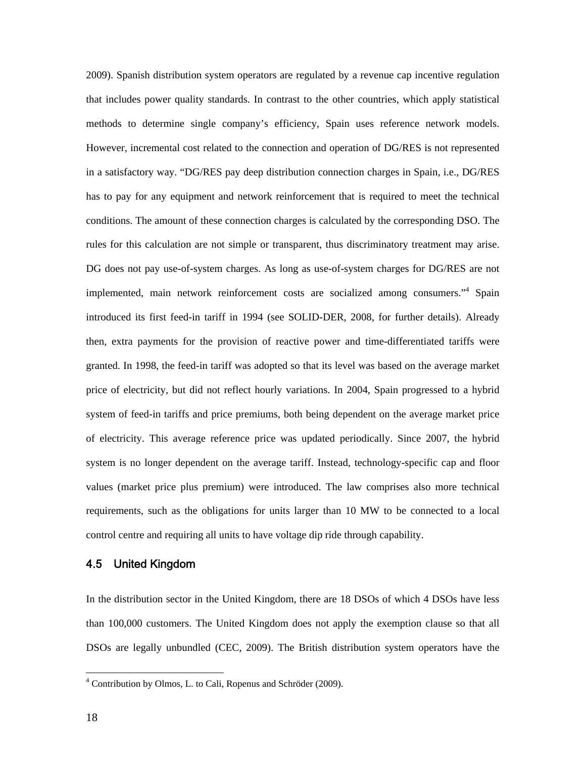2009). Spanish distribution system operators are regulated by a revenue cap incentive regulation that includes power quality standards. In contrast to the other countries, which apply statistical methods to determine single company's efficiency, Spain uses reference network models. However, incremental cost related to the connection and operation of DG/RES is not represented in a satisfactory way. "DG/RES pay deep distribution connection charges in Spain, i.e., DG/RES has to pay for any equipment and network reinforcement that is required to meet the technical conditions. The amount of these connection charges is calculated by the corresponding DSO. The rules for this calculation are not simple or transparent, thus discriminatory treatment may arise. DG does not pay use-of-system charges. As long as use-of-system charges for DG/RES are not implemented, main network reinforcement costs are socialized among consumers."<sup>4</sup> Spain introduced its first feed-in tariff in 1994 (see SOLID-DER, 2008, for further details). Already then, extra payments for the provision of reactive power and time-differentiated tariffs were granted. In 1998, the feed-in tariff was adopted so that its level was based on the average market price of electricity, but did not reflect hourly variations. In 2004, Spain progressed to a hybrid system of feed-in tariffs and price premiums, both being dependent on the average market price of electricity. This average reference price was updated periodically. Since 2007, the hybrid system is no longer dependent on the average tariff. Instead, technology-specific cap and floor values (market price plus premium) were introduced. The law comprises also more technical requirements, such as the obligations for units larger than 10 MW to be connected to a local control centre and requiring all units to have voltage dip ride through capability.

## 4.5 United Kingdom

In the distribution sector in the United Kingdom, there are 18 DSOs of which 4 DSOs have less than 100,000 customers. The United Kingdom does not apply the exemption clause so that all DSOs are legally unbundled (CEC, 2009). The British distribution system operators have the

 $\overline{a}$ 

<sup>4</sup> Contribution by Olmos, L. to Cali, Ropenus and Schröder (2009).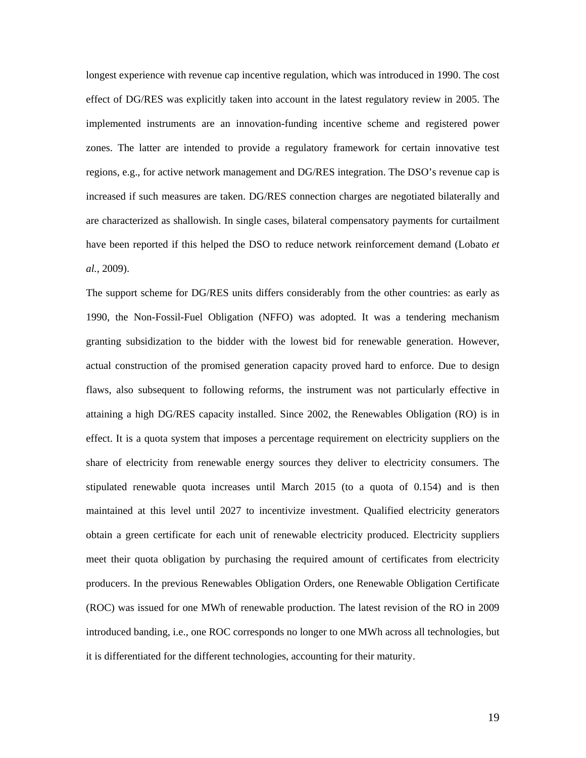longest experience with revenue cap incentive regulation, which was introduced in 1990. The cost effect of DG/RES was explicitly taken into account in the latest regulatory review in 2005. The implemented instruments are an innovation-funding incentive scheme and registered power zones. The latter are intended to provide a regulatory framework for certain innovative test regions, e.g., for active network management and DG/RES integration. The DSO's revenue cap is increased if such measures are taken. DG/RES connection charges are negotiated bilaterally and are characterized as shallowish. In single cases, bilateral compensatory payments for curtailment have been reported if this helped the DSO to reduce network reinforcement demand (Lobato *et al.*, 2009).

The support scheme for DG/RES units differs considerably from the other countries: as early as 1990, the Non-Fossil-Fuel Obligation (NFFO) was adopted. It was a tendering mechanism granting subsidization to the bidder with the lowest bid for renewable generation. However, actual construction of the promised generation capacity proved hard to enforce. Due to design flaws, also subsequent to following reforms, the instrument was not particularly effective in attaining a high DG/RES capacity installed. Since 2002, the Renewables Obligation (RO) is in effect. It is a quota system that imposes a percentage requirement on electricity suppliers on the share of electricity from renewable energy sources they deliver to electricity consumers. The stipulated renewable quota increases until March 2015 (to a quota of 0.154) and is then maintained at this level until 2027 to incentivize investment. Qualified electricity generators obtain a green certificate for each unit of renewable electricity produced. Electricity suppliers meet their quota obligation by purchasing the required amount of certificates from electricity producers. In the previous Renewables Obligation Orders, one Renewable Obligation Certificate (ROC) was issued for one MWh of renewable production. The latest revision of the RO in 2009 introduced banding, i.e., one ROC corresponds no longer to one MWh across all technologies, but it is differentiated for the different technologies, accounting for their maturity.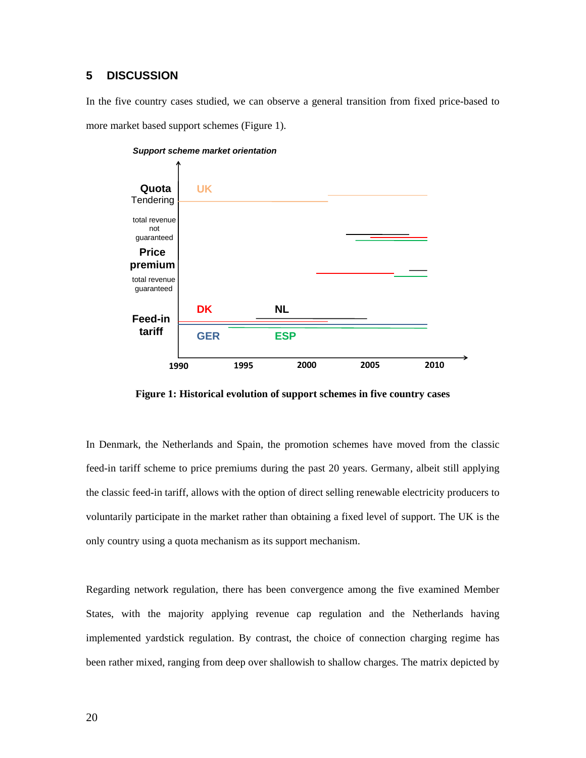# **5 DISCUSSION**

In the five country cases studied, we can observe a general transition from fixed price-based to more market based support schemes (Figure 1).



*Support scheme market orientation*

**Figure 1: Historical evolution of support schemes in five country cases** 

In Denmark, the Netherlands and Spain, the promotion schemes have moved from the classic feed-in tariff scheme to price premiums during the past 20 years. Germany, albeit still applying the classic feed-in tariff, allows with the option of direct selling renewable electricity producers to voluntarily participate in the market rather than obtaining a fixed level of support. The UK is the only country using a quota mechanism as its support mechanism.

Regarding network regulation, there has been convergence among the five examined Member States, with the majority applying revenue cap regulation and the Netherlands having implemented yardstick regulation. By contrast, the choice of connection charging regime has been rather mixed, ranging from deep over shallowish to shallow charges. The matrix depicted by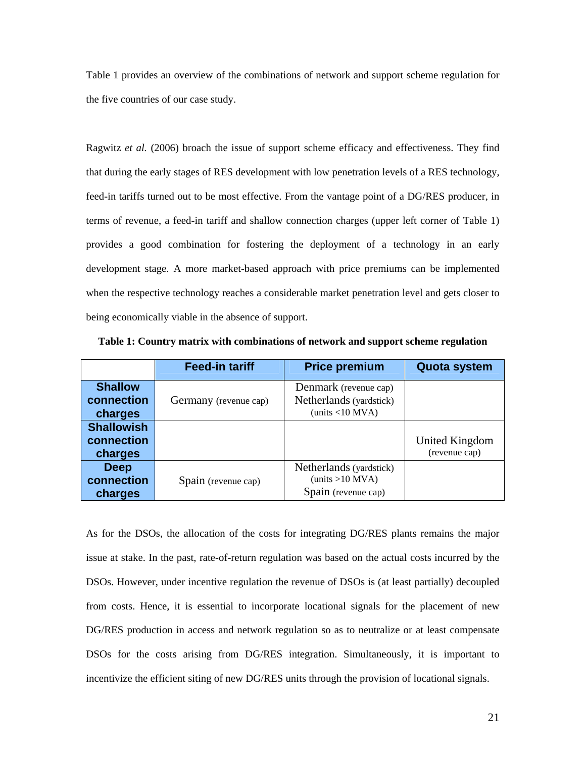Table 1 provides an overview of the combinations of network and support scheme regulation for the five countries of our case study.

Ragwitz *et al.* (2006) broach the issue of support scheme efficacy and effectiveness. They find that during the early stages of RES development with low penetration levels of a RES technology, feed-in tariffs turned out to be most effective. From the vantage point of a DG/RES producer, in terms of revenue, a feed-in tariff and shallow connection charges (upper left corner of Table 1) provides a good combination for fostering the deployment of a technology in an early development stage. A more market-based approach with price premiums can be implemented when the respective technology reaches a considerable market penetration level and gets closer to being economically viable in the absence of support.

|                                            | <b>Feed-in tariff</b> | <b>Price premium</b>                                                   | Quota system                    |
|--------------------------------------------|-----------------------|------------------------------------------------------------------------|---------------------------------|
| <b>Shallow</b><br>connection<br>charges    | Germany (revenue cap) | Denmark (revenue cap)<br>Netherlands (yardstick)<br>$(units < 10$ MVA) |                                 |
| <b>Shallowish</b><br>connection<br>charges |                       |                                                                        | United Kingdom<br>(revenue cap) |
| <b>Deep</b><br>connection<br>charges       | Spain (revenue cap)   | Netherlands (yardstick)<br>$units > 10$ MVA)<br>Spain (revenue cap)    |                                 |

**Table 1: Country matrix with combinations of network and support scheme regulation** 

As for the DSOs, the allocation of the costs for integrating DG/RES plants remains the major issue at stake. In the past, rate-of-return regulation was based on the actual costs incurred by the DSOs. However, under incentive regulation the revenue of DSOs is (at least partially) decoupled from costs. Hence, it is essential to incorporate locational signals for the placement of new DG/RES production in access and network regulation so as to neutralize or at least compensate DSOs for the costs arising from DG/RES integration. Simultaneously, it is important to incentivize the efficient siting of new DG/RES units through the provision of locational signals.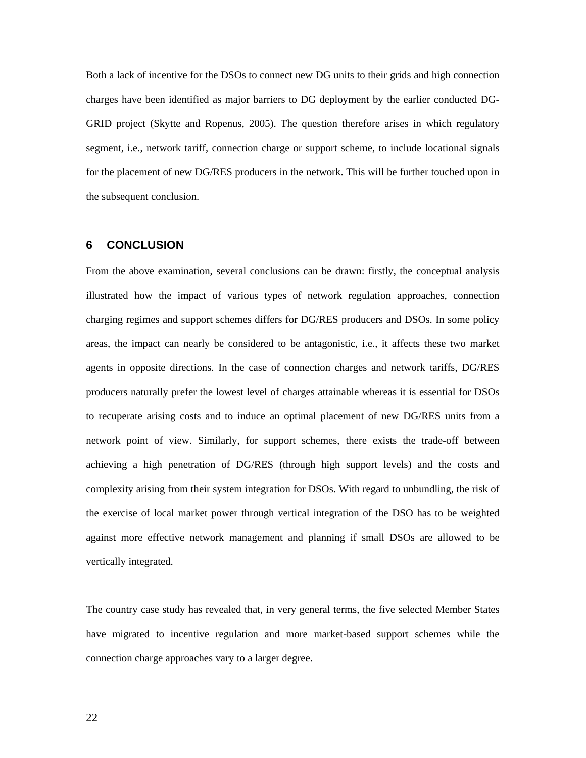Both a lack of incentive for the DSOs to connect new DG units to their grids and high connection charges have been identified as major barriers to DG deployment by the earlier conducted DG-GRID project (Skytte and Ropenus, 2005). The question therefore arises in which regulatory segment, i.e., network tariff, connection charge or support scheme, to include locational signals for the placement of new DG/RES producers in the network. This will be further touched upon in the subsequent conclusion.

#### **6 CONCLUSION**

From the above examination, several conclusions can be drawn: firstly, the conceptual analysis illustrated how the impact of various types of network regulation approaches, connection charging regimes and support schemes differs for DG/RES producers and DSOs. In some policy areas, the impact can nearly be considered to be antagonistic, i.e., it affects these two market agents in opposite directions. In the case of connection charges and network tariffs, DG/RES producers naturally prefer the lowest level of charges attainable whereas it is essential for DSOs to recuperate arising costs and to induce an optimal placement of new DG/RES units from a network point of view. Similarly, for support schemes, there exists the trade-off between achieving a high penetration of DG/RES (through high support levels) and the costs and complexity arising from their system integration for DSOs. With regard to unbundling, the risk of the exercise of local market power through vertical integration of the DSO has to be weighted against more effective network management and planning if small DSOs are allowed to be vertically integrated.

The country case study has revealed that, in very general terms, the five selected Member States have migrated to incentive regulation and more market-based support schemes while the connection charge approaches vary to a larger degree.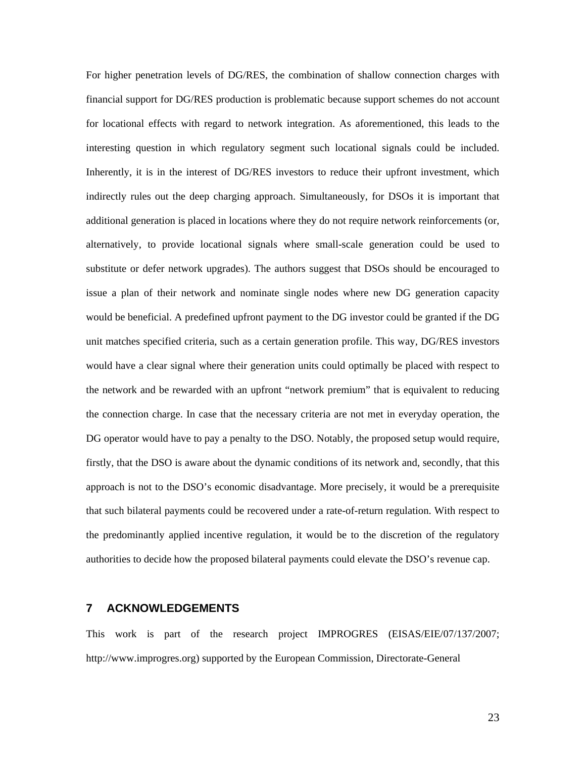For higher penetration levels of DG/RES, the combination of shallow connection charges with financial support for DG/RES production is problematic because support schemes do not account for locational effects with regard to network integration. As aforementioned, this leads to the interesting question in which regulatory segment such locational signals could be included. Inherently, it is in the interest of DG/RES investors to reduce their upfront investment, which indirectly rules out the deep charging approach. Simultaneously, for DSOs it is important that additional generation is placed in locations where they do not require network reinforcements (or, alternatively, to provide locational signals where small-scale generation could be used to substitute or defer network upgrades). The authors suggest that DSOs should be encouraged to issue a plan of their network and nominate single nodes where new DG generation capacity would be beneficial. A predefined upfront payment to the DG investor could be granted if the DG unit matches specified criteria, such as a certain generation profile. This way, DG/RES investors would have a clear signal where their generation units could optimally be placed with respect to the network and be rewarded with an upfront "network premium" that is equivalent to reducing the connection charge. In case that the necessary criteria are not met in everyday operation, the DG operator would have to pay a penalty to the DSO. Notably, the proposed setup would require, firstly, that the DSO is aware about the dynamic conditions of its network and, secondly, that this approach is not to the DSO's economic disadvantage. More precisely, it would be a prerequisite that such bilateral payments could be recovered under a rate-of-return regulation. With respect to the predominantly applied incentive regulation, it would be to the discretion of the regulatory authorities to decide how the proposed bilateral payments could elevate the DSO's revenue cap.

#### **7 ACKNOWLEDGEMENTS**

This work is part of the research project IMPROGRES (EISAS/EIE/07/137/2007; http://www.improgres.org) supported by the European Commission, Directorate-General

23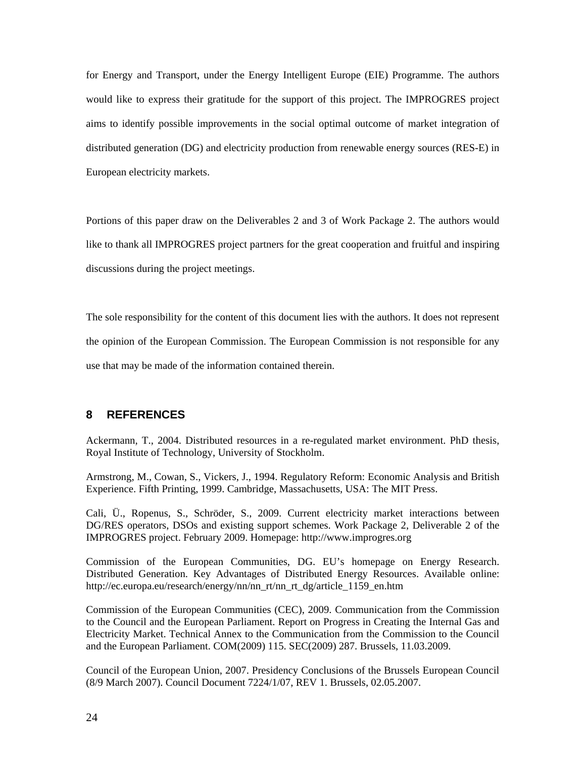for Energy and Transport, under the Energy Intelligent Europe (EIE) Programme. The authors would like to express their gratitude for the support of this project. The IMPROGRES project aims to identify possible improvements in the social optimal outcome of market integration of distributed generation (DG) and electricity production from renewable energy sources (RES-E) in European electricity markets.

Portions of this paper draw on the Deliverables 2 and 3 of Work Package 2. The authors would like to thank all IMPROGRES project partners for the great cooperation and fruitful and inspiring discussions during the project meetings.

The sole responsibility for the content of this document lies with the authors. It does not represent the opinion of the European Commission. The European Commission is not responsible for any use that may be made of the information contained therein.

# **8 REFERENCES**

Ackermann, T., 2004. Distributed resources in a re-regulated market environment. PhD thesis, Royal Institute of Technology, University of Stockholm.

Armstrong, M., Cowan, S., Vickers, J., 1994. Regulatory Reform: Economic Analysis and British Experience. Fifth Printing, 1999. Cambridge, Massachusetts, USA: The MIT Press.

Cali, Ü., Ropenus, S., Schröder, S., 2009. Current electricity market interactions between DG/RES operators, DSOs and existing support schemes. Work Package 2, Deliverable 2 of the IMPROGRES project. February 2009. Homepage: http://www.improgres.org

Commission of the European Communities, DG. EU's homepage on Energy Research. Distributed Generation. Key Advantages of Distributed Energy Resources. Available online: http://ec.europa.eu/research/energy/nn/nn\_rt/nn\_rt\_dg/article\_1159\_en.htm

Commission of the European Communities (CEC), 2009. Communication from the Commission to the Council and the European Parliament. Report on Progress in Creating the Internal Gas and Electricity Market. Technical Annex to the Communication from the Commission to the Council and the European Parliament. COM(2009) 115. SEC(2009) 287. Brussels, 11.03.2009.

Council of the European Union, 2007. Presidency Conclusions of the Brussels European Council (8/9 March 2007). Council Document 7224/1/07, REV 1. Brussels, 02.05.2007.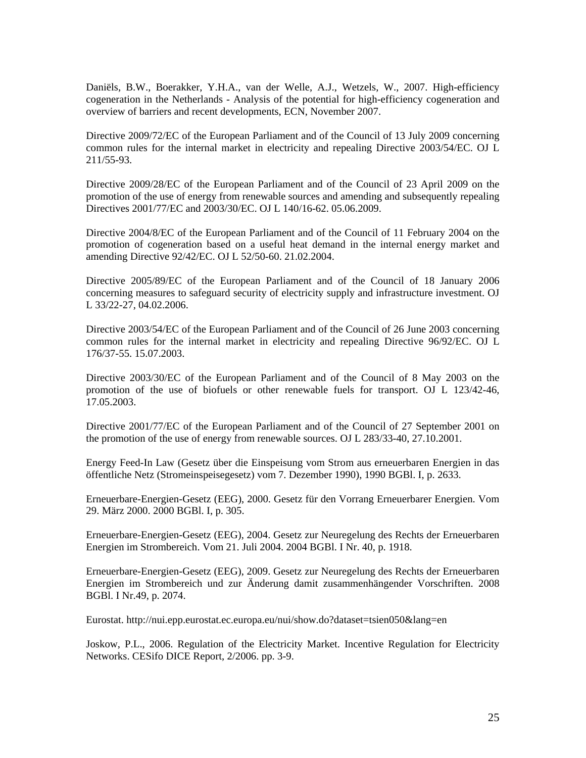Daniëls, B.W., Boerakker, Y.H.A., van der Welle, A.J., Wetzels, W., 2007. High-efficiency cogeneration in the Netherlands - Analysis of the potential for high-efficiency cogeneration and overview of barriers and recent developments, ECN, November 2007.

Directive 2009/72/EC of the European Parliament and of the Council of 13 July 2009 concerning common rules for the internal market in electricity and repealing Directive 2003/54/EC. OJ L 211/55-93.

Directive 2009/28/EC of the European Parliament and of the Council of 23 April 2009 on the promotion of the use of energy from renewable sources and amending and subsequently repealing Directives 2001/77/EC and 2003/30/EC. OJ L 140/16-62. 05.06.2009.

Directive 2004/8/EC of the European Parliament and of the Council of 11 February 2004 on the promotion of cogeneration based on a useful heat demand in the internal energy market and amending Directive 92/42/EC. OJ L 52/50-60. 21.02.2004.

Directive 2005/89/EC of the European Parliament and of the Council of 18 January 2006 concerning measures to safeguard security of electricity supply and infrastructure investment. OJ L 33/22-27, 04.02.2006.

Directive 2003/54/EC of the European Parliament and of the Council of 26 June 2003 concerning common rules for the internal market in electricity and repealing Directive 96/92/EC. OJ L 176/37-55. 15.07.2003.

Directive 2003/30/EC of the European Parliament and of the Council of 8 May 2003 on the promotion of the use of biofuels or other renewable fuels for transport. OJ L 123/42-46, 17.05.2003.

Directive 2001/77/EC of the European Parliament and of the Council of 27 September 2001 on the promotion of the use of energy from renewable sources. OJ L 283/33-40, 27.10.2001.

Energy Feed-In Law (Gesetz über die Einspeisung vom Strom aus erneuerbaren Energien in das öffentliche Netz (Stromeinspeisegesetz) vom 7. Dezember 1990), 1990 BGBl. I, p. 2633.

Erneuerbare-Energien-Gesetz (EEG), 2000. Gesetz für den Vorrang Erneuerbarer Energien. Vom 29. März 2000. 2000 BGBl. I, p. 305.

Erneuerbare-Energien-Gesetz (EEG), 2004. Gesetz zur Neuregelung des Rechts der Erneuerbaren Energien im Strombereich. Vom 21. Juli 2004. 2004 BGBl. I Nr. 40, p. 1918.

Erneuerbare-Energien-Gesetz (EEG), 2009. Gesetz zur Neuregelung des Rechts der Erneuerbaren Energien im Strombereich und zur Änderung damit zusammenhängender Vorschriften. 2008 BGBl. I Nr.49, p. 2074.

Eurostat. http://nui.epp.eurostat.ec.europa.eu/nui/show.do?dataset=tsien050&lang=en

Joskow, P.L., 2006. Regulation of the Electricity Market. Incentive Regulation for Electricity Networks. CESifo DICE Report, 2/2006. pp. 3-9.